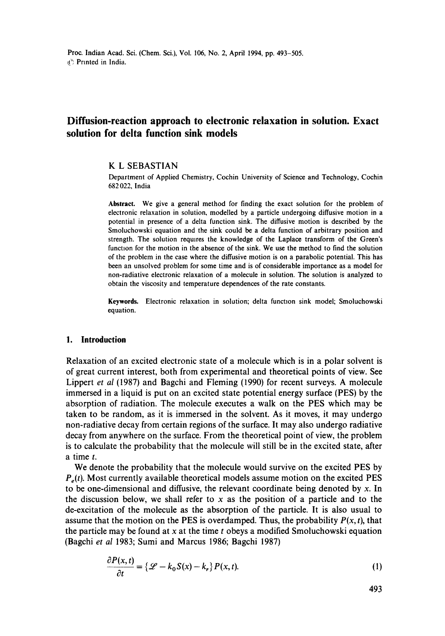# **Diffusion-reaction approach to electronic relaxation in solution. Exact solution for delta function sink models**

#### K L SEBASTIAN

Department of Applied Chemistry, Cochin University of Science and Technology, Cochin 682022, India

Abstract. We give a general method for finding the exact solution for the problem of electronic relaxation in solution, modelled by a particle undergoing diffusive motion in a potential in presence of a delta function sink. The diffusive motion is described by the Smoluchowski equation and the sink could be a delta function of arbitrary position and strength. The solution requires the knowledge of the Laplace transform of the Green's function for the motion in the absence of the sink. We use the method to find the solution of the problem in the case where the diffusive motion is on a parabolic potential. This has been an unsolved problem for some time and is of considerable importance as a model for non-radiative electronic relaxation of a molecule in solution. The solution is analyzed to obtain the viscosity and temperature dependences of the rate constants.

**Keywords.** Electronic relaxation in solution; delta function sink model; Smoluchowski equation.

#### **I. Introduction**

Relaxation of an excited electronic state of a molecule which is in a polar solvent is of great current interest, both from experimental and theoretical points of view. See Lippert *et al* (1987) and Bagchi and Fleming (1990) for recent surveys. A molecule immersed in a liquid is put on an excited state potential energy surface (PES) by the absorption of radiation. The molecule executes a walk on the PES which may be taken to be random, as it is immersed in the solvent. As it moves, it may undergo non-radiative decay from certain regions of the surface. It may also undergo radiative decay from anywhere on the surface. From the theoretical point of view, the problem is to calculate the probability that the molecule will still be in the excited state, after a time t.

We denote the probability that the molecule would survive on the excited PES by  $P<sub>e</sub>(t)$ . Most currently available theoretical models assume motion on the excited PES to be one-dimensional and diffusive, the relevant coordinate being denoted by x. In the discussion below, we shall refer to  $x$  as the position of a particle and to the de-excitation of the molecule as the absorption of the particle. It is also usual to assume that the motion on the PES is overdamped. Thus, the probability  $P(x, t)$ , that the particle may be found at x at the time  $t$  obeys a modified Smoluchowski equation (Bagchi *et al* 1983; Sumi and Marcus 1986; Bagchi 1987)

$$
\frac{\partial P(x,t)}{\partial t} = \{ \mathcal{L} - k_0 S(x) - k_r \} P(x,t). \tag{1}
$$

493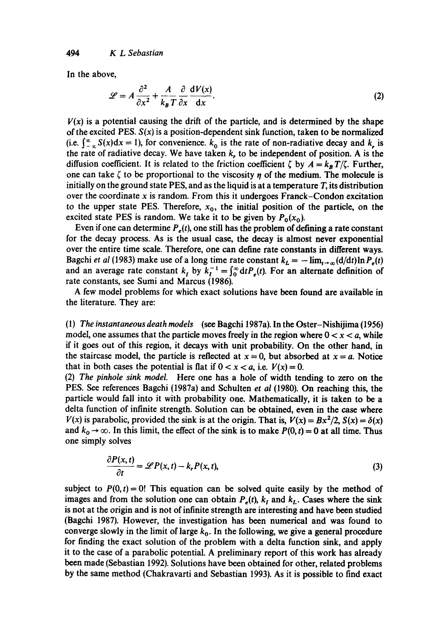In the above,

$$
\mathcal{L} = A \frac{\partial^2}{\partial x^2} + \frac{A}{k_B T} \frac{\partial}{\partial x} \frac{dV(x)}{dx}.
$$
 (2)

 $V(x)$  is a potential causing the drift of the particle, and is determined by the shape of the excited PES. *S(x)* is a position-dependent sink function, taken to be normalized (i.e.  $\int_{-\infty}^{\infty} S(x)dx = 1$ ), for convenience,  $k_0$  is the rate of non-radiative decay and k, is the rate of radiative decay. We have taken  $k$ , to be independent of position. A is the diffusion coefficient. It is related to the friction coefficient  $\zeta$  by  $A = k_B T/\zeta$ . Further, one can take  $\zeta$  to be proportional to the viscosity  $\eta$  of the medium. The molecule is initially on the ground state PES, and as the liquid is at a temperature  $T$ , its distribution over the coordinate x is random. From this it undergoes Franck–Condon excitation to the upper state PES. Therefore,  $x<sub>0</sub>$ , the initial position of the particle, on the excited state PES is random. We take it to be given by  $P_0(x_0)$ .

Even if one can determine  $P_e(t)$ , one still has the problem of defining a rate constant for the decay process. As is the usual case, the decay is almost never exponential over the entire time scale. Therefore, one can define rate constants in different ways. Bagchi *et al* (1983) make use of a long time rate constant  $k_L = -\lim_{t\to\infty} (d/dt) \ln P_e(t)$ and an average rate constant k, by  $k_t^{-1} = \int_0^\infty dt P_s(t)$ . For an alternate definition of rate constants, see Sumi and Marcus (1986).

A few model problems for which exact solutions have been found are available in the literature. They are:

(1) *The instantaneous death models* (see Bagchi 1987a). In the Oster-Nishijima (1956) model, one assumes that the particle moves freely in the region where  $0 < x < a$ , while if it goes out of this region, it decays with unit probability. On the other hand, in the staircase model, the particle is reflected at  $x = 0$ , but absorbed at  $x = a$ . Notice that in both cases the potential is flat if  $0 < x < a$ , i.e.  $V(x) = 0$ .

(2) *The pinhole sink model* Here one has a hole of width tending to zero on the PES. See references Bagchi (1987a) and Schulten *et al* (1980). On reaching this, the particle would fall into it with probability one. Mathematically, it is taken to be a delta function of infinite strength. Solution can be obtained, even in the ease where  $V(x)$  is parabolic, provided the sink is at the origin. That is,  $V(x) = Bx^2/2$ ,  $S(x) = \delta(x)$ and  $k_0 \rightarrow \infty$ . In this limit, the effect of the sink is to make  $P(0, t) = 0$  at all time. Thus one simply solves

$$
\frac{\partial P(x,t)}{\partial t} = \mathscr{L}P(x,t) - k_{r}P(x,t),
$$
\n(3)

subject to  $P(0, t) = 0!$  This equation can be solved quite easily by the method of images and from the solution one can obtain  $P_e(t)$ ,  $k_l$  and  $k_l$ . Cases where the sink is not at the origin and is not of infinite strength are interesting and have been studied (Bagchi 1987). However, the investigation has been numerical and was found to converge slowly in the limit of large  $k_0$ . In the following, we give a general procedure for finding the exact solution of the problem with a delta function sink, and apply it to the case of a parabolic potential. A preliminary report of this work has already been made (Sebastian 1992). Solutions have been obtained for other, related problems by the same method (Chakravarti and Sebastian 1993). As it is possible to find exact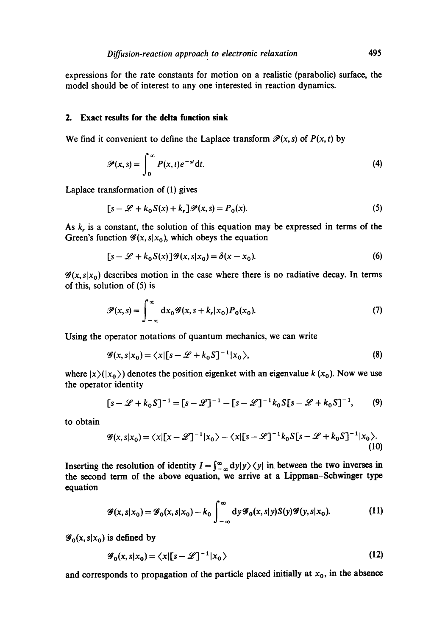expressions for the rate constants for motion on a realistic (parabolic) surface, the model should be of interest to any one interested in reaction dynamics.

#### **2. Exact results for the delta function sink**

We find it convenient to define the Laplace transform  $\mathcal{P}(x, s)$  of  $P(x, t)$  by

$$
\mathscr{P}(x,s) = \int_0^\infty P(x,t)e^{-st}dt.
$$
 (4)

Laplace transformation of (1) gives

$$
[s - \mathcal{L} + k_0 S(x) + k_r] \mathcal{P}(x, s) = P_0(x). \tag{5}
$$

As  $k<sub>r</sub>$  is a constant, the solution of this equation may be expressed in terms of the Green's function  $\mathscr{G}(x, s|x_0)$ , which obeys the equation

$$
[s - \mathcal{L} + k_0 S(x)]\mathcal{G}(x, s|x_0) = \delta(x - x_0). \tag{6}
$$

 $\mathscr{G}(x, s|x_0)$  describes motion in the case where there is no radiative decay. In terms of this, solution of (5) is

$$
\mathscr{P}(x,s) = \int_{-\infty}^{\infty} dx_0 \mathscr{G}(x,s+k_r|x_0) P_0(x_0).
$$
 (7)

Using the operator notations of quantum mechanics, we can write

$$
\mathcal{G}(x, s|x_0) = \langle x | [s - \mathcal{L} + k_0 S]^{-1} | x_0 \rangle, \tag{8}
$$

where  $|x\rangle(|x_0\rangle)$  denotes the position eigenket with an eigenvalue k  $(x_0)$ . Now we use the operator identity

$$
[s - \mathcal{L} + k_0 S]^{-1} = [s - \mathcal{L}]^{-1} - [s - \mathcal{L}]^{-1} k_0 S [s - \mathcal{L} + k_0 S]^{-1},
$$
 (9)

to obtain

$$
\mathscr{G}(x,s|x_0) = \langle x | [x-\mathscr{L}]^{-1} | x_0 \rangle - \langle x | [s-\mathscr{L}]^{-1} k_0 S [s-\mathscr{L}+k_0 S]^{-1} | x_0 \rangle. \tag{10}
$$

Inserting the resolution of identity  $I = \int_{-\infty}^{\infty} dy|y\rangle \langle y|$  in between the two inverses in the second term of the above equation, we arrive at a Lippman-Schwinger type equation

$$
\mathscr{G}(x,s|x_0) = \mathscr{G}_0(x,s|x_0) - k_0 \int_{-\infty}^{\infty} dy \mathscr{G}_0(x,s|y)S(y)\mathscr{G}(y,s|x_0).
$$
 (11)

 $\mathscr{G}_0(x, s|x_0)$  is defined by

$$
\mathcal{G}_0(x, s|x_0) = \langle x | [s - \mathcal{L}]^{-1} | x_0 \rangle \tag{12}
$$

and corresponds to propagation of the particle placed initially at  $x_0$ , in the absence

 $\overline{1}$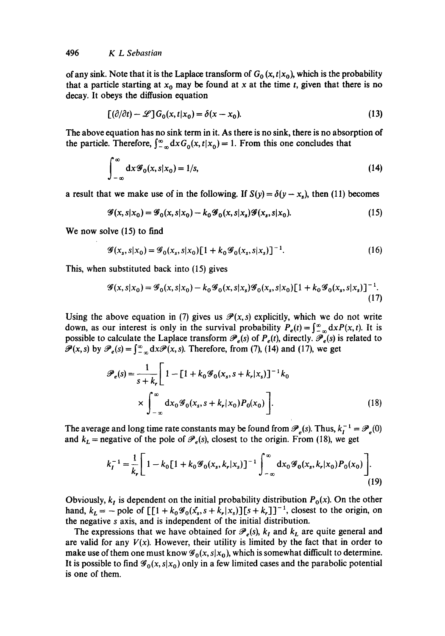of any sink. Note that it is the Laplace transform of  $G_0(x, t|x_0)$ , which is the probability that a particle starting at  $x_0$  may be found at x at the time t, given that there is no decay. It obeys the diffusion equation

$$
[(\partial/\partial t) - \mathscr{L}]G_0(x, t|x_0) = \delta(x - x_0).
$$
\n(13)

The above equation has no sink term in it. As there is no sink, there is no absorption of the particle. Therefore,  $\int_{-\infty}^{\infty} dx G_0(x, t|x_0) = 1$ . From this one concludes that

$$
\int_{-\infty}^{\infty} dx \mathcal{G}_0(x, s | x_0) = 1/s,
$$
\n(14)

a result that we make use of in the following. If  $S(y) = \delta(y - x_s)$ , then (11) becomes

$$
\mathcal{G}(x, s|x_0) = \mathcal{G}_0(x, s|x_0) - k_0 \mathcal{G}_0(x, s|x_s) \mathcal{G}(x_s, s|x_0). \tag{15}
$$

We now solve (15) to find

$$
\mathcal{G}(x_s, s | x_0) = \mathcal{G}_0(x_s, s | x_0) [1 + k_0 \mathcal{G}_0(x_s, s | x_s)]^{-1}.
$$
 (16)

This, when substituted back into (15) gives

$$
\mathcal{G}(x, s | x_0) = \mathcal{G}_0(x, s | x_0) - k_0 \mathcal{G}_0(x, s | x_s) \mathcal{G}_0(x_s, s | x_0) [1 + k_0 \mathcal{G}_0(x_s, s | x_s)]^{-1}.
$$
\n(17)

Using the above equation in (7) gives us  $\mathcal{P}(x, s)$  explicitly, which we do not write down, as our interest is only in the survival probability  $P_e(t) = \int_{-\infty}^{\infty} dx P(x, t)$ . It is possible to calculate the Laplace transform  $\mathcal{P}_e(s)$  of  $P_e(t)$ , directly.  $\mathcal{P}_e(s)$  is related to  $\mathscr{P}(x, s)$  by  $\mathscr{P}_e(s) = \int_{-\infty}^{\infty} dx \mathscr{P}(x, s)$ . Therefore, from (7), (14) and (17), we get

$$
\mathscr{P}_e(s) = \frac{1}{s + k_r} \left[ 1 - \left[ 1 + k_0 \mathscr{G}_0(x_s, s + k_r | x_s) \right]^{-1} k_0 \times \int_{-\infty}^{\infty} dx_0 \mathscr{G}_0(x_s, s + k_r | x_0) P_0(x_0) \right].
$$
\n(18)

The average and long time rate constants may be found from  $\mathcal{P}_e(s)$ . Thus,  $k_1^{-1} = \mathcal{P}_e(0)$ and  $k_L$  = negative of the pole of  $\mathcal{P}_e(s)$ , closest to the origin. From (18), we get

$$
k_I^{-1} = \frac{1}{k_r} \left[ 1 - k_0 \left[ 1 + k_0 \mathcal{G}_0(x_s, k_r | x_s) \right]^{-1} \int_{-\infty}^{\infty} dx_0 \mathcal{G}_0(x_s, k_r | x_0) P_0(x_0) \right].
$$
\n(19)

Obviously,  $k_I$  is dependent on the initial probability distribution  $P_0(x)$ . On the other hand,  $k_L = -$  pole of  $\left[ [1 + k_0 \mathcal{G}_0(x_s, s + k_r | x_s)] [s + k_r] \right]^{-1}$ , closest to the origin, on the negative s axis, and is independent of the initial distribution.

The expressions that we have obtained for  $\mathcal{P}_e(s)$ ,  $k_t$  and  $k_t$  are quite general and are valid for any  $V(x)$ . However, their utility is limited by the fact that in order to make use of them one must know  $\mathscr{G}_0(x, s|x_0)$ , which is somewhat difficult to determine. It is possible to find  $\mathscr{G}_0(x, s|x_0)$  only in a few limited cases and the parabolic potential is one of them.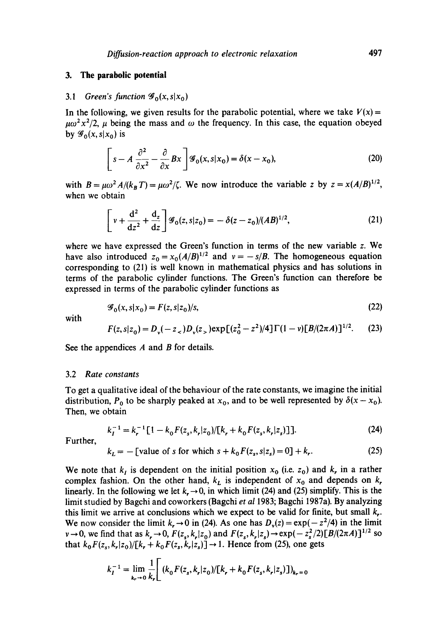#### **3. The parabolic potential**

#### 3.1 *Green's function*  $\mathscr{G}_0(x, s|x_0)$

In the following, we given results for the parabolic potential, where we take  $V(x)$  =  $\mu\omega^2x^2/2$ ,  $\mu$  being the mass and  $\omega$  the frequency. In this case, the equation obeyed by  $\mathscr{G}_0(x, s|x_0)$  is

$$
\[s - A \frac{\partial^2}{\partial x^2} - \frac{\partial}{\partial x} Bx \] \mathcal{G}_0(x, s | x_0) = \delta(x - x_0),\tag{20}
$$

with  $B = \mu \omega^2 A/(k_B T) = \mu \omega^2/\zeta$ . We now introduce the variable z by  $z = x(A/B)^{1/2}$ , when we obtain

$$
\left[ v + \frac{d^2}{dz^2} + \frac{d_z}{dz} \right] \mathcal{G}_0(z, s|z_0) = -\delta(z - z_0)/(AB)^{1/2}, \tag{21}
$$

where we have expressed the Green's function in terms of the new variable z. We have also introduced  $z_0 = x_0 (A/B)^{1/2}$  and  $v = -s/B$ . The homogeneous equation corresponding to (21) is well known in mathematical physics and has solutions in terms of the parabolic cylinder functions. The Green's function can therefore be expressed in terms of the parabolic cylinder functions as

$$
\mathcal{G}_0(x, s|x_0) = F(z, s|z_0)/s,\tag{22}
$$

with

$$
F(z, s|z_0) = D_y(-z_<)D_y(z_<) \exp[(z_0^2 - z^2)/4] \Gamma(1 - v)[B/(2\pi A)]^{1/2}.
$$
 (23)

See the appendices  $A$  and  $B$  for details.

#### 3.2 *Rate constants*

To get a qualitative ideal of the behaviour of the rate constants, we imagine the initial distribution,  $P_0$  to be sharply peaked at  $x_0$ , and to be well represented by  $\delta(x - x_0)$ . Then, we obtain

$$
k_I^{-1} = k_r^{-1} [1 - k_0 F(z_s, k_r | z_0) / [k_r + k_0 F(z_s, k_r | z_s)]]
$$
 (24)

Further,

$$
k_L = -
$$
 [value of s for which  $s + k_0 F(z_s, s|z_s) = 0$ ] +  $k_r$ . (25)

We note that  $k_i$  is dependent on the initial position  $x_0$  (i.e.  $z_0$ ) and  $k_i$ , in a rather complex fashion. On the other hand,  $k<sub>L</sub>$  is independent of  $x<sub>0</sub>$  and depends on k, linearly. In the following we let  $k_{\tau} \rightarrow 0$ , in which limit (24) and (25) simplify. This is the limit studied by Bagchi and coworkers (Bagchi *et al* 1983; Bagchi 1987a). By analyzing this limit we arrive at conclusions which we expect to be valid for finite, but small  $k<sub>r</sub>$ . We now consider the limit  $k_r \to 0$  in (24). As one has  $D_v(z) = \exp(-z^2/4)$  in the limit  $v \to 0$ , we find that as  $k_r \to 0$ ,  $F(z_s, k_r | z_0)$  and  $F(z_s, k_r | z_s) \to \exp(-z_s^2/2) [B/(2\pi A)]^{1/2}$  so that  $k_0F(z_s, k_r|z_0)/[k_r + k_0F(z_s, k_r|z_s)] \rightarrow 1$ . Hence from (25), one gets

$$
k_I^{-1} = \lim_{k_r \to 0} \frac{1}{k_r} \Big[ (k_0 F(z_s, k_r | z_0) / [k_r + k_0 F(z_s, k_r | z_s) ] )_{k_r = 0}
$$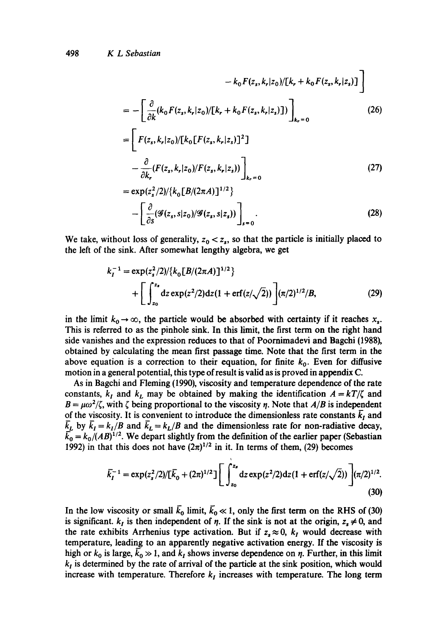Ė

$$
-k_0 F(z_s, k_r | z_0) / [k_r + k_0 F(z_s, k_r | z_s)] \bigg]
$$
  
= 
$$
- \left[ \frac{\partial}{\partial k} (k_0 F(z_s, k_r | z_0) / [k_r + k_0 F(z_s, k_r | z_s)] ) \right]_{k_r = 0}
$$
 (26)

$$
= \left[ F(z_s, k_r | z_0) / [k_0 [F(z_s, k_r | z_s)]^2] - \frac{\partial}{\partial k_r} (F(z_s, k_r | z_0) / F(z_s, k_r | z_s)) \right]_{k_r = 0}
$$
\n(27)

$$
= \exp(z_s^2/2)/\{k_0[B/(2\pi A)]^{1/2}\}\
$$

$$
-\left[\frac{\partial}{\partial s}(\mathscr{G}(z_s, s|z_0)/\mathscr{G}(z_s, s|z_s))\right]_{s=0}.
$$
(28)

We take, without loss of generality,  $z_0 < z_s$ , so that the particle is initially placed to the left of the sink. After somewhat lengthy algebra, we get

$$
k_I^{-1} = \exp(z_s^2/2)/\{k_0[B/(2\pi A)]^{1/2}\}\
$$
  
+ 
$$
\left[\int_{z_0}^{z_s} dz \exp(z^2/2)dz(1 + \text{erf}(z/\sqrt{2}))\right] (\pi/2)^{1/2}/B,
$$
 (29)

in the limit  $k_0 \to \infty$ , the particle would be absorbed with certainty if it reaches  $x_n$ . This is referred to as the pinhole sink. In this limit, the first term on the right hand side vanishes and the expression reduces to that of Poomimadevi and Bagchi (1988), obtained by calculating the mean first passage time. Note that the first term in the above equation is a correction to their equation, for finite  $k_0$ . Even for diffusive motion in a general potential, this type of result is valid as is proved in appendix C.

As in Bagchi and Fleming (1990), viscosity and temperature dependence of the rate constants,  $k_I$  and  $k_L$  may be obtained by making the identification  $A = kT/\zeta$  and  $B = \mu \omega^2/\zeta$ , with  $\zeta$  being proportional to the viscosity  $\eta$ . Note that *A/B* is independent of the viscosity. It is convenient to introduce the dimensionless rate constants  $\overline{k}_I$  and  $\bar{k}_L$  by  $\bar{k}_I = k_I/B$  and  $\bar{k}_L = k_L/B$  and the dimensionless rate for non-radiative decay,  $k_0 = k_0/(AB)^{1/2}$ . We depart slightly from the definition of the earlier paper (Sebastian 1992) in that this does not have  $(2\pi)^{1/2}$  in it. In terms of them, (29) becomes

$$
\bar{k}_I^{-1} = \exp(z_s^2/2)/[\bar{k}_0 + (2\pi)^{1/2}] \Bigg[ \int_{z_0}^{z_s} dz \exp(z^2/2) dz (1 + \text{erf}(z/\sqrt{2})) \Bigg] (\pi/2)^{1/2}.
$$
\n(30)

In the low viscosity or small  $\bar{k}_0$  limit,  $\bar{k}_0 \ll 1$ , only the first term on the RHS of (30) is significant.  $k_I$  is then independent of  $\eta$ . If the sink is not at the origin,  $z_s \neq 0$ , and the rate exhibits Arrhenius type activation. But if  $z_s \approx 0$ ,  $k_I$  would decrease with temperature, leading to an apparently negative activation energy. If the viscosity is high or  $k_0$  is large,  $\bar{k}_0 \gg 1$ , and  $k_I$  shows inverse dependence on  $\eta$ . Further, in this limit  $k_l$  is determined by the rate of arrival of the particle at the sink position, which would increase with temperature. Therefore  $k<sub>I</sub>$  increases with temperature. The long term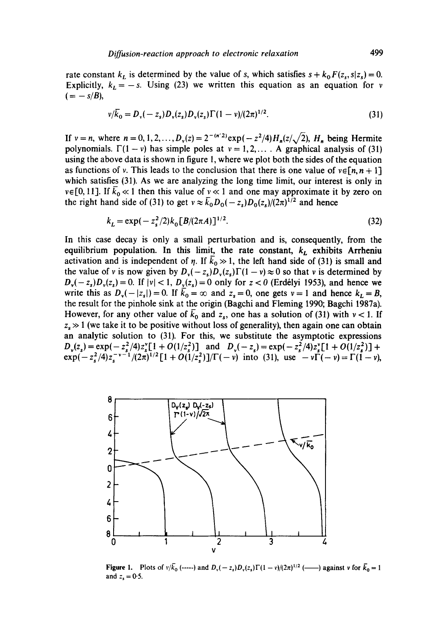rate constant  $k_L$  is determined by the value of *s*, which satisfies  $s + k_0 F(z_s, s|z_s) = 0$ . Explicitly,  $k_L = -s$ . Using (23) we written this equation as an equation for v  $(=-s/B),$ 

$$
v/\bar{k}_0 = D_v(-z_s)D_v(z_s)D_v(z_s)\Gamma(1-v)/(2\pi)^{1/2}.
$$
 (31)

If  $v = n$ , where  $n = 0, 1, 2, ..., D_v(z) = 2^{-(n/2)} \exp(-z^2/4) H_n(z/\sqrt{2})$ ,  $H_n$  being Hermite polynomials.  $\Gamma(1-v)$  has simple poles at  $v=1,2,...$ . A graphical analysis of (31) using the above data is shown in figure 1, where we plot both the sides of the equation as functions of v. This leads to the conclusion that there is one value of  $v \in [n, n + 1]$ which satisfies (31). As we are analyzing the long time limit, our interest is only in  $v \in [0, 11]$ . If  $\bar{k}_0 \ll 1$  then this value of  $v \ll 1$  and one may approximate it by zero on the right hand side of (31) to get  $v \approx \bar{k}_0 D_0(-z_s)D_0(z_s)/(2\pi)^{1/2}$  and hence

$$
k_L = \exp(-z_s^2/2)k_0[B/(2\pi A)]^{1/2}.
$$
 (32)

In this case decay is only a small perturbation and is, consequently, from the equilibrium population. In this limit, the rate constant,  $k<sub>L</sub>$  exhibits Arrheniu activation and is independent of  $\eta$ . If  $k_0 \gg 1$ , the left hand side of (31) is small and the value of v is now given by  $D_x(-z_1)D_y(z_2)\Gamma(1 - v) \approx 0$  so that v is determined by  $D_{\nu}(-z_s)D_{\nu}(z_s) = 0$ . If  $|\nu| < 1$ ,  $D_{\nu}(z_s) = 0$  only for  $z < 0$  (Erdélyi 1953), and hence we write this as  $D_v(-|z_s|)=0$ . If  $\bar{k}_0=\infty$  and  $z_s=0$ , one gets  $v=1$  and hence  $k_L=B$ , the result for the pinhole sink at the origin (Bagchi and Fleming 1990; Bagchi 1987a). However, for any other value of  $\bar{k}_0$  and  $z_s$ , one has a solution of (31) with  $v < 1$ . If  $z_s \gg 1$  (we take it to be positive without loss of generality), then again one can obtain an analytic solution to (31). For this, we substitute the asymptotic expressions  $D_y(z) = \exp(-z^2/4)z^2[(1 + O(1/z^2))]$  and  $D_y(-z) = \exp(-z^2/4)z^2[(1 + O(1/z^2))]$  +  $\exp(-z_5^2/4)z_5^{-v-1}/(2\pi)^{1/2}[1+O(1/z_5^2)]/\Gamma(-v)$  into (31), use  $-v\Gamma(-v) = \Gamma(1-v)$ ,



**Figure 1.** Plots of  $v/\bar{k}_0$  (-----) and  $D_v(-z_s)D_v(z_s)\Gamma(1-v)/(2\pi)^{1/2}$  (----) against v for  $\bar{k}_0=1$ and  $z_s = 0.5$ .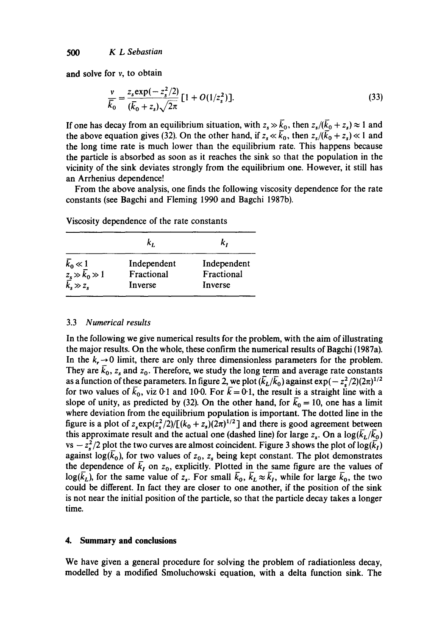and solve for v, to obtain

$$
\frac{v}{\overline{k}_0} = \frac{z_s \exp(-z_s^2/2)}{(\overline{k}_0 + z_s)\sqrt{2\pi}} \left[1 + O(1/z_s^2)\right].
$$
\n(33)

If one has decay from an equilibrium situation, with  $z_s \gg \bar{k}_0$ , then  $z_s/(\bar{k}_0 + z_s) \approx 1$  and the above equation gives (32). On the other hand, if  $z_s \ll \bar{k}_0$ , then  $z_s/(\bar{k}_0 + z_s) \ll 1$  and the long time rate is much lower than the equilibrium rate. This happens because the particle is absorbed as soon as it reaches the sink so that the population in the vicinity of the sink deviates strongly from the equilibrium one. However, it still has an Arrhenius dependence!

From the above analysis, one finds the following viscosity dependence for the rate constants (see Bagchi and Fleming 1990 and Bagchi 1987b).

|                                                                       | k,          | k,          |
|-----------------------------------------------------------------------|-------------|-------------|
|                                                                       | Independent | Independent |
|                                                                       | Fractional  | Fractional  |
| $\bar{k}_0 \ll 1$<br>$z_s \gg \bar{k}_0 \gg 1$<br>$\bar{k}_s \gg z_s$ | Inverse     | Inverse     |

Viscosity dependence of the rate constants

#### 3.3 *Numerical results*

In the following we give numerical results for the problem, with the aim of illustrating the major results. On the whole, these confirm the numerical results of Bagchi (1987a). In the  $k, \rightarrow 0$  limit, there are only three dimensionless parameters for the problem. They are  $\bar{k}_0$ ,  $z_s$  and  $z_0$ . Therefore, we study the long term and average rate constants as a function of these parameters. In figure 2, we plot  $(\bar{k}_L/\bar{k}_0)$  against  $\exp(-z_s^2/2)(2\pi)^{1/2}$ for two values of  $\bar{k}_0$ , viz 0.1 and 10.0. For  $\bar{k} = 0.1$ , the result is a straight line with a slope of unity, as predicted by (32). On the other hand, for  $\bar{k}_0 = 10$ , one has a limit where deviation from the equilibrium population is important. The dotted line in the figure is a plot of  $z_s \exp(z_s^2/2)/[(k_0 + z_s)(2\pi)^{1/2}]$  and there is good agreement between this approximate result and the actual one (dashed line) for large  $z_s$ . On a  $\log(\bar{k}_L/\bar{k}_0)$ vs  $-z_s^2/2$  plot the two curves are almost coincident. Figure 3 shows the plot of log( $\bar{k}_I$ ) against log( $k_0$ ), for two values of  $z_0$ ,  $z_s$  being kept constant. The plot demonstrates the dependence of  $\bar{k}_I$  on  $z_0$ , explicitly. Plotted in the same figure are the values of  $log(\bar{k}_L)$ , for the same value of  $z_s$ . For small  $\bar{k}_0$ ,  $\bar{k}_L \approx \bar{k}_I$ , while for large  $\bar{k}_0$ , the two could be different. In fact they are closer to one another, if the position of the sink is not near the initial position of the particle, so that the particle decay takes a longer time.

## **4. Summary and conclusions**

We have given a general procedure for solving the problem of radiationless decay, modelled by a modified Smoluchowski equation, with a delta function sink. The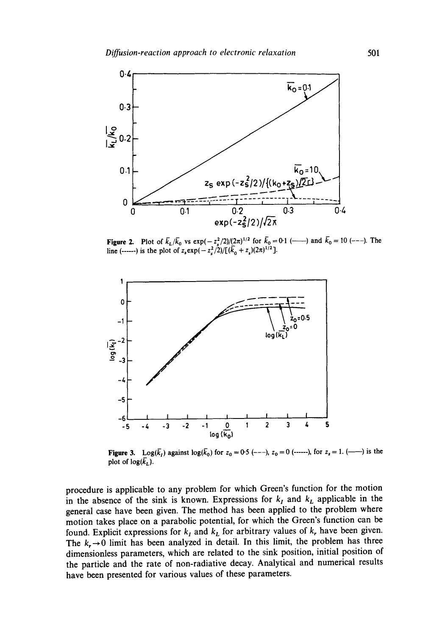

**Figure 2.** Plot of  $\bar{k}_L/\bar{k}_0$  vs  $\exp(-z_s^2/2)/(2\pi)^{1/2}$  for  $\bar{k}_0 = 0.1$  (line (------) is the plot of  $z_s \exp(-z_s^2/2) / [(k_0 + z_s)(2\pi)^{1/2}]$ . ) and  $k_0 = 10$  (---). The



**Figure 3.** Log( $\bar{k}_1$ ) against log( $\bar{k}_0$ ) for  $z_0 = 0.5$  (---),  $z_0 = 0$  (------), for  $z_s = 1$ . (-----) is the plot of  $log(k_L)$ .

procedure is applicable to any problem for which Green's function for the motion in the absence of the sink is known. Expressions for  $k<sub>I</sub>$  and  $k<sub>L</sub>$  applicable in the general case have been given. The method has been applied to the problem where motion takes place on a parabolic potential, for which the Green's function can be found. Explicit expressions for  $k_I$  and  $k_L$  for arbitrary values of  $k_r$  have been given. The  $k_r \rightarrow 0$  limit has been analyzed in detail. In this limit, the problem has three dimensionless parameters, which are related to the sink position, initial position of the particle and the rate of non-radiative decay. Analytical and numerical results have been presented for various values of these parameters.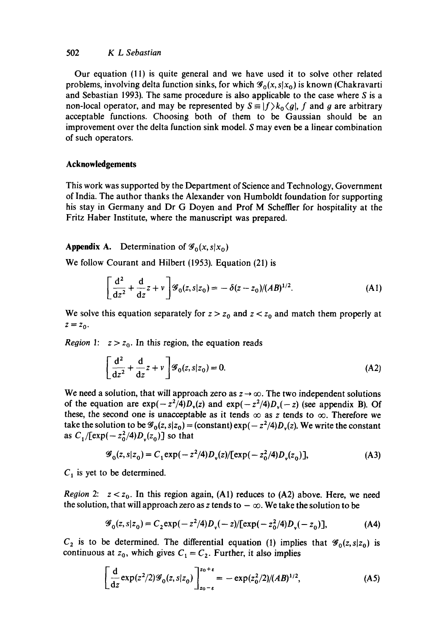## 502 *K L Sebastian*

Our equation (11) is quite general and we have used it to solve other related problems, involving delta function sinks, for which  $\mathscr{G}_0(x, s|x_0)$  is known (Chakravarti and Sebastian 1993). The same procedure is also applicable to the case where  $S$  is a non-local operator, and may be represented by  $S \equiv |f\rangle k_0 \langle g|$ , f and g are arbitrary acceptable functions. Choosing both of them to be Gaussian should be an improvement over the delta function sink model. S may even be a linear combination of such operators.

## **Acknowledgements**

This work was supported by the Department of Science and Technology, Government of India. The author thanks the Alexander von Humboldt foundation for supporting his stay in Germany and Dr G Doyen and Prof M Scheffler for hospitality at the Fritz Haber Institute, where the manuscript was prepared.

**Appendix A.** Determination of  $\mathscr{G}_0(x, s | x_0)$ 

We follow Courant and Hilbert (1953). Equation (21) is

$$
\left[\frac{d^2}{dz^2} + \frac{d}{dz}z + v\right] \mathcal{G}_0(z, s|z_0) = -\delta(z - z_0)/(AB)^{1/2}.
$$
 (A1)

We solve this equation separately for  $z > z_0$  and  $z < z_0$  and match them properly at  $z = z_0$ .

*Region 1:*  $z > z_0$ . In this region, the equation reads

$$
\left[\frac{\mathrm{d}^2}{\mathrm{d}z^2} + \frac{\mathrm{d}}{\mathrm{d}z}z + v\right] \mathcal{G}_0(z, s|z_0) = 0. \tag{A2}
$$

We need a solution, that will approach zero as  $z \rightarrow \infty$ . The two independent solutions of the equation are  $exp(-z^2/4)D_v(z)$  and  $exp(-z^2/4)D_v(-z)$  (see appendix B). Of these, the second one is unacceptable as it tends  $\infty$  as z tends to  $\infty$ . Therefore we take the solution to be  $\mathcal{G}_0(z, s|z_0) = (constant) \exp(-z^2/4)D_v(z)$ . We write the constant as  $C_1/[\exp(-z_0^2/4)D_y(z_0)]$  so that

$$
\mathcal{G}_0(z, s|z_0) = C_1 \exp(-z^2/4) D_v(z) / [\exp(-z_0^2/4) D_v(z_0)], \tag{A3}
$$

 $C_1$  is yet to be determined.

*Region 2:*  $z < z_0$ . In this region again, (A1) reduces to (A2) above. Here, we need the solution, that will approach zero as z tends to  $-\infty$ . We take the solution to be

$$
\mathcal{G}_0(z, s|z_0) = C_2 \exp(-z^2/4) D_v(-z) / [\exp(-z_0^2/4) D_v(-z_0)], \tag{A4}
$$

 $C_2$  is to be determined. The differential equation (1) implies that  $\mathscr{G}_0(z, s|z_0)$  is continuous at  $z_0$ , which gives  $C_1 = C_2$ . Further, it also implies

$$
\left[\frac{d}{dz}\exp(z^2/2)\mathcal{G}_0(z,s|z_0)\right]_{z_0-\epsilon}^{z_0+\epsilon}=-\exp(z_0^2/2)/(AB)^{1/2},\tag{A5}
$$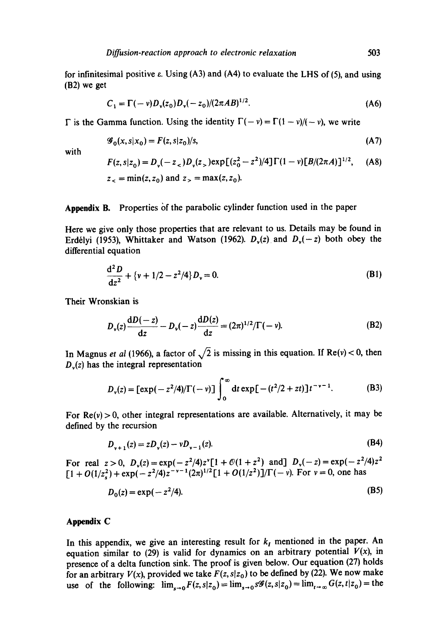for infinitesimal positive  $\varepsilon$ . Using (A3) and (A4) to evaluate the LHS of (5), and using (B2) we get

$$
C_1 = \Gamma(-v)D_v(z_0)D_v(-z_0)/(2\pi AB)^{1/2}.
$$
 (A6)

 $\Gamma$  is the Gamma function. Using the identity  $\Gamma(- v) = \Gamma(1 - v)/(-v)$ , we write

$$
\mathcal{G}_0(x, s|x_0) = F(z, s|z_0)/s,\tag{A7}
$$

with

$$
F(z, s|z_0) = D_v(-z_<)D_v(z_>) \exp[(z_0^2 - z^2)/4] \Gamma(1 - v) [B/(2\pi A)]^{1/2}, \quad (A8)
$$
  
  $z_< = min(z, z_0)$  and  $z_> = max(z, z_0)$ .

## Appendix B. Properties of the parabolic cylinder function used in the paper

Here we give only those properties that are relevant to us. Details may be found in Erdélyi (1953), Whittaker and Watson (1962).  $D_v(z)$  and  $D_v(-z)$  both obey the differential equation

$$
\frac{d^2 D}{dz^2} + \{v + 1/2 - z^2/4\} D_v = 0.
$$
 (B1)

Their Wronskian is

$$
D_{\nu}(z)\frac{dD(-z)}{dz} - D_{\nu}(-z)\frac{dD(z)}{dz} = (2\pi)^{1/2}/\Gamma(-\nu).
$$
 (B2)

In Magnus *et al* (1966), a factor of  $\sqrt{2}$  is missing in this equation. If Re(v) < 0, then  $D<sub>v</sub>(z)$  has the integral representation

$$
D_{\nu}(z) = \left[\exp(-z^2/4)/\Gamma(-\nu)\right] \int_0^{\infty} dt \exp[-(t^2/2 + zt)]t^{-\nu-1}.
$$
 (B3)

For  $Re(v) > 0$ , other integral representations are available. Alternatively, it may be defined by the recursion

$$
D_{v+1}(z) = zD_v(z) - vD_{v-1}(z). \tag{B4}
$$

For real  $z > 0$ ,  $D_v(z) = \exp(-z^2/4)z^v[1 + \mathcal{O}(1 + z^2)]$  and  $D_v(-z) = \exp(-z^2/4)z^2$  $\Gamma[1 + O(1/z^2) + \exp(-z^2/4)z^{-\nu-1}(2\pi)^{1/2}[1 + O(1/z^2)]/\Gamma(-\nu)$ . For  $\nu = 0$ , one has

$$
D_0(z) = \exp(-z^2/4). \tag{B5}
$$

## **Appendix C**

In this appendix, we give an interesting result for  $k<sub>I</sub>$  mentioned in the paper. An equation similar to (29) is valid for dynamics on an arbitrary potential  $V(x)$ , in presence of a delta function sink. The proof is given below. Our equation (27) holds for an arbitrary  $V(x)$ , provided we take  $F(z, s|z_0)$  to be defined by (22). We now make use of the following:  $\lim_{x\to 0}F(z, s|z_0) = \lim_{s\to 0} s\mathscr{G}(z, s|z_0) = \lim_{t\to\infty} G(z, t|z_0) =$  the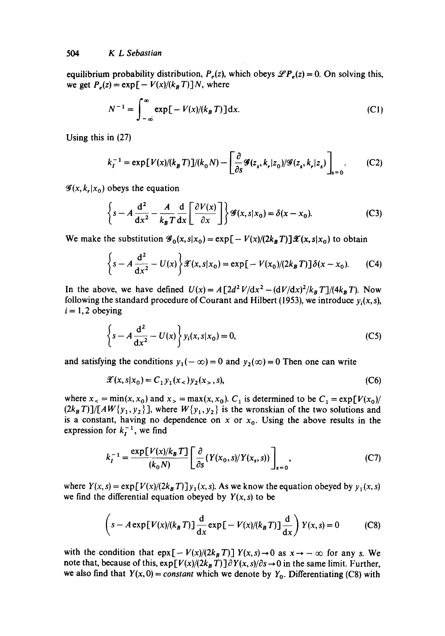equilibrium probability distribution,  $P_e(z)$ , which obeys  $\mathscr{L}P_e(z) = 0$ . On solving this, we get  $P_e(z) = \exp[-V(x)/(k_B T)]N$ , where

$$
N^{-1} = \int_{-\infty}^{\infty} \exp\left[-V(x)/(k_B T)\right] dx.
$$
 (C1)

Using this in (27)

$$
k_I^{-1} = \exp[V(x)/(k_B T)]/(k_0 N) - \left[\frac{\partial}{\partial s}\mathcal{G}(z_s, k_r | z_0)/\mathcal{G}(z_s, k_r | z_s)\right]_{s=0}.\tag{C2}
$$

 $\mathscr{G}(x, k, |x_0)$  obeys the equation

$$
\left\{ s - A \frac{d^2}{dx^2} - \frac{A}{k_B T} \frac{d}{dx} \left[ \frac{\partial V(x)}{\partial x} \right] \right\} \mathcal{G}(x, s | x_0) = \delta(x - x_0).
$$
 (C3)

We make the substitution  $\mathcal{G}_0(x, s|x_0) = \exp[-V(x)/(2k_B T)]\mathcal{X}(x, s|x_0)$  to obtain

$$
\left\{ s - A \frac{d^2}{dx^2} - U(x) \right\} \mathcal{X}(x, s | x_0) = \exp[-V(x_0)/(2k_B T)] \delta(x - x_0). \tag{C4}
$$

In the above, we have defined  $U(x) = A [2d^2 V/dx^2 - (dV/dx)^2/k_B T]/(4k_B T)$ . Now following the standard procedure of Courant and Hilbert (1953), we introduce  $y_i(x, s)$ ,  $i = 1, 2$  obeying

$$
\left\{ s - A \frac{d^2}{dx^2} - U(x) \right\} y_i(x, s | x_0) = 0,
$$
 (C5)

and satisfying the conditions  $y_1(-\infty)=0$  and  $y_2(\infty)=0$  Then one can write

$$
\mathcal{X}(x, s | x_0) = C_1 y_1(x_<) y_2(x_>, s), \tag{C6}
$$

where  $x_{<} = \min(x, x_0)$  and  $x_{>} = \max(x, x_0)$ .  $C_1$  is determined to be  $C_1 = \exp[V(x_0)]$  $(2k_B T)/[AW{y_1, y_2}]$ , where  $W{y_1, y_2}$  is the wronskian of the two solutions and is a constant, having no dependence on x or  $x_0$ . Using the above results in the expression for  $k_i^{-1}$ , we find

$$
k_I^{-1} = \frac{\exp[V(x)/k_B T]}{(k_0 N)} \left[ \frac{\partial}{\partial s} (Y(x_0, s) / Y(x_s, s)) \right]_{s=0},\tag{C7}
$$

where  $Y(x, s) = \exp[V(x)/(2k_B T)]y_1(x, s)$ . As we know the equation obeyed by  $y_1(x, s)$ we find the differential equation obeyed by  $Y(x, s)$  to be

$$
\left(s - A \exp[V(x)/(k_B T)] \frac{d}{dx} \exp[-V(x)/(k_B T)] \frac{d}{dx}\right) Y(x, s) = 0
$$
 (C8)

with the condition that  $\exp[-V(x)/(2k_BT)] Y(x,s) \rightarrow 0$  as  $x \rightarrow -\infty$  for any s. We note that, because of this,  $exp[V(x)/(2k_BT)] \partial Y(x, s)/\partial s \rightarrow 0$  in the same limit. Further, we also find that  $Y(x, 0) = constant$  which we denote by  $Y_0$ . Differentiating (C8) with